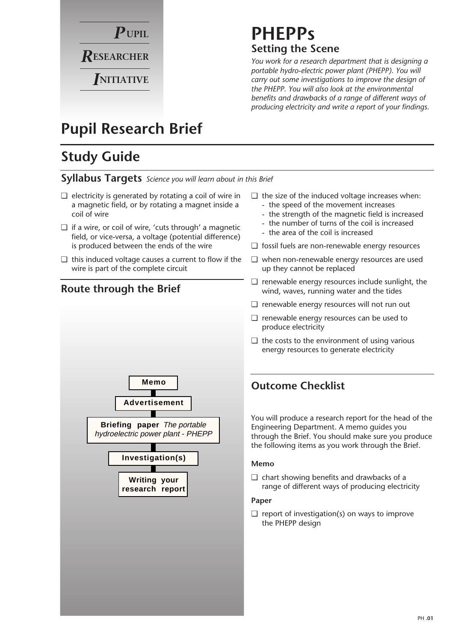

# **PHEPPs Setting the Scene**

*You work for a research department that is designing a portable hydro-electric power plant (PHEPP). You will carry out some investigations to improve the design of the PHEPP. You will also look at the environmental benefits and drawbacks of a range of different ways of producing electricity and write a report of your findings.*

# **Pupil Research Brief**

# **Study Guide**

**Syllabus Targets** *Science you will learn about in this Brief*

- ❏ electricity is generated by rotating a coil of wire in a magnetic field, or by rotating a magnet inside a coil of wire
- ❏ if a wire, or coil of wire, 'cuts through' a magnetic field, or vice-versa, a voltage (potential difference) is produced between the ends of the wire
- ❏ this induced voltage causes a current to flow if the wire is part of the complete circuit

**Writing your research report**

**Investigation(s)**

**Memo**

**Advertisement**

**Briefing paper** The portable hydroelectric power plant - PHEPP



## **Route through the Brief**

- ❏ the size of the induced voltage increases when:
	- the speed of the movement increases
	- the strength of the magnetic field is increased
	- the number of turns of the coil is increased
	- the area of the coil is increased
- ❏ fossil fuels are non-renewable energy resources
- ❏ when non-renewable energy resources are used up they cannot be replaced
- ❏ renewable energy resources include sunlight, the wind, waves, running water and the tides
- ❏ renewable energy resources will not run out
- ❏ renewable energy resources can be used to produce electricity
- ❏ the costs to the environment of using various energy resources to generate electricity

## **Outcome Checklist**

You will produce a research report for the head of the Engineering Department. A memo guides you through the Brief. You should make sure you produce the following items as you work through the Brief.

#### **Memo**

❏ chart showing benefits and drawbacks of a range of different ways of producing electricity

#### **Paper**

 $\Box$  report of investigation(s) on ways to improve the PHEPP design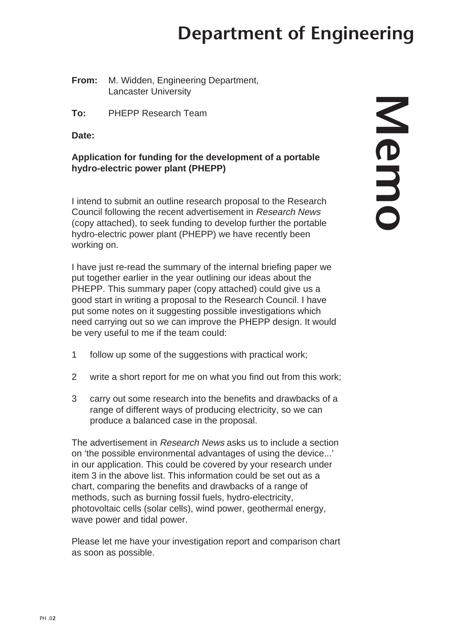# **Department of Engineering**

**From:** M. Widden, Engineering Department, Lancaster University

**To:** PHEPP Research Team

**Date:**

### **Application for funding for the development of a portable hydro-electric power plant (PHEPP)**

I intend to submit an outline research proposal to the Research Council following the recent advertisement in Research News (copy attached), to seek funding to develop further the portable hydro-electric power plant (PHEPP) we have recently been working on.

I have just re-read the summary of the internal briefing paper we put together earlier in the year outlining our ideas about the PHEPP. This summary paper (copy attached) could give us a good start in writing a proposal to the Research Council. I have put some notes on it suggesting possible investigations which need carrying out so we can improve the PHEPP design. It would be very useful to me if the team could:

- 1 follow up some of the suggestions with practical work;
- 2 write a short report for me on what you find out from this work;
- 3 carry out some research into the benefits and drawbacks of a range of different ways of producing electricity, so we can produce a balanced case in the proposal.

The advertisement in Research News asks us to include a section on 'the possible environmental advantages of using the device...' in our application. This could be covered by your research under item 3 in the above list. This information could be set out as a chart, comparing the benefits and drawbacks of a range of methods, such as burning fossil fuels, hydro-electricity, photovoltaic cells (solar cells), wind power, geothermal energy, wave power and tidal power.

Please let me have your investigation report and comparison chart as soon as possible.

# **Memo**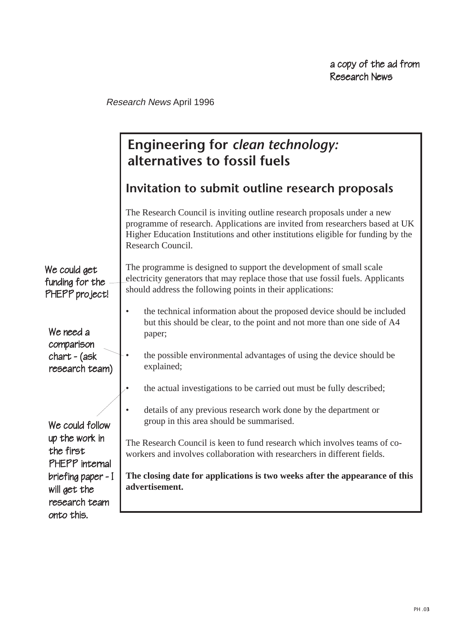Research News April 1996

|                                                                  | Engineering for clean technology:<br>alternatives to fossil fuels                                                                                                                                                                                                |
|------------------------------------------------------------------|------------------------------------------------------------------------------------------------------------------------------------------------------------------------------------------------------------------------------------------------------------------|
|                                                                  | Invitation to submit outline research proposals                                                                                                                                                                                                                  |
|                                                                  | The Research Council is inviting outline research proposals under a new<br>programme of research. Applications are invited from researchers based at UK<br>Higher Education Institutions and other institutions eligible for funding by the<br>Research Council. |
| We could get<br>funding for the<br>PHEPP project!                | The programme is designed to support the development of small scale<br>electricity generators that may replace those that use fossil fuels. Applicants<br>should address the following points in their applications:                                             |
| We need a<br>comparison<br>$chart - (ask)$<br>research team)     | the technical information about the proposed device should be included<br>but this should be clear, to the point and not more than one side of A4<br>paper;                                                                                                      |
|                                                                  | the possible environmental advantages of using the device should be<br>explained;                                                                                                                                                                                |
|                                                                  | the actual investigations to be carried out must be fully described;                                                                                                                                                                                             |
| We could follow<br>up the work in<br>the first<br>PHEPP internal | details of any previous research work done by the department or<br>group in this area should be summarised.                                                                                                                                                      |
|                                                                  | The Research Council is keen to fund research which involves teams of co-<br>workers and involves collaboration with researchers in different fields.                                                                                                            |
| briefing paper - I<br>will get the<br>research team              | The closing date for applications is two weeks after the appearance of this<br>advertisement.                                                                                                                                                                    |
| onto this.                                                       |                                                                                                                                                                                                                                                                  |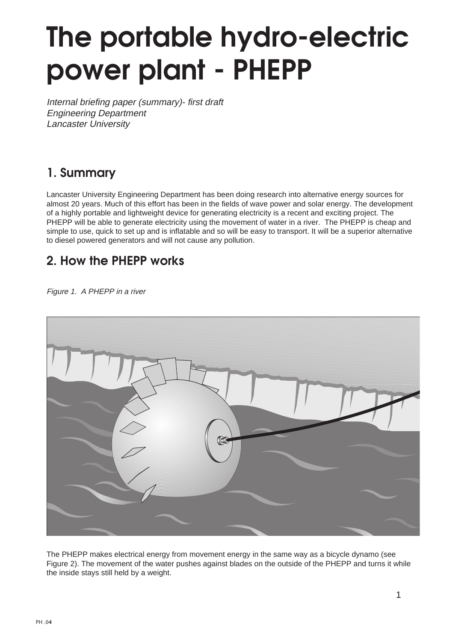# **The portable hydro-electric power plant - PHEPP**

Internal briefing paper (summary)- first draft Engineering Department Lancaster University

# **1. Summary**

Lancaster University Engineering Department has been doing research into alternative energy sources for almost 20 years. Much of this effort has been in the fields of wave power and solar energy. The development of a highly portable and lightweight device for generating electricity is a recent and exciting project. The PHEPP will be able to generate electricity using the movement of water in a river. The PHEPP is cheap and simple to use, quick to set up and is inflatable and so will be easy to transport. It will be a superior alternative to diesel powered generators and will not cause any pollution.

## **2. How the PHEPP works**

Figure 1. A PHEPP in a river



The PHEPP makes electrical energy from movement energy in the same way as a bicycle dynamo (see Figure 2). The movement of the water pushes against blades on the outside of the PHEPP and turns it while the inside stays still held by a weight.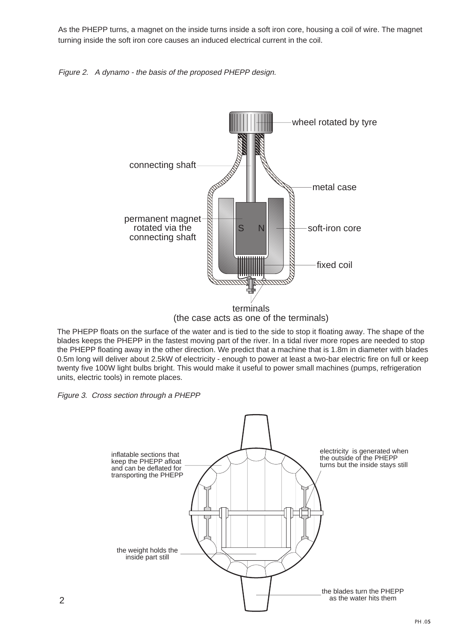As the PHEPP turns, a magnet on the inside turns inside a soft iron core, housing a coil of wire. The magnet turning inside the soft iron core causes an induced electrical current in the coil.





The PHEPP floats on the surface of the water and is tied to the side to stop it floating away. The shape of the blades keeps the PHEPP in the fastest moving part of the river. In a tidal river more ropes are needed to stop the PHEPP floating away in the other direction. We predict that a machine that is 1.8m in diameter with blades 0.5m long will deliver about 2.5kW of electricity - enough to power at least a two-bar electric fire on full or keep twenty five 100W light bulbs bright. This would make it useful to power small machines (pumps, refrigeration units, electric tools) in remote places.